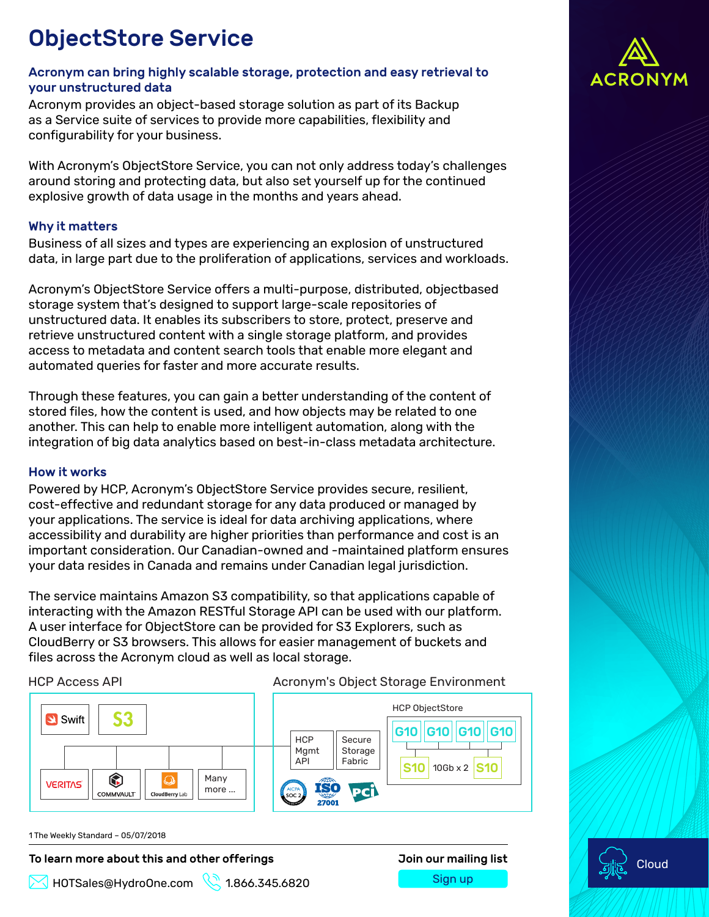# ObjectStore Service

### Acronym can bring highly scalable storage, protection and easy retrieval to your unstructured data

Acronym provides an object-based storage solution as part of its Backup as a Service suite of services to provide more capabilities, flexibility and configurability for your business.

With Acronym's ObjectStore Service, you can not only address today's challenges around storing and protecting data, but also set yourself up for the continued explosive growth of data usage in the months and years ahead.

## Why it matters

Business of all sizes and types are experiencing an explosion of unstructured data, in large part due to the proliferation of applications, services and workloads.

Acronym's ObjectStore Service offers a multi-purpose, distributed, objectbased storage system that's designed to support large-scale repositories of unstructured data. It enables its subscribers to store, protect, preserve and retrieve unstructured content with a single storage platform, and provides access to metadata and content search tools that enable more elegant and automated queries for faster and more accurate results.

Through these features, you can gain a better understanding of the content of stored files, how the content is used, and how objects may be related to one another. This can help to enable more intelligent automation, along with the integration of big data analytics based on best-in-class metadata architecture.

### How it works

Powered by HCP, Acronym's ObjectStore Service provides secure, resilient, cost-effective and redundant storage for any data produced or managed by your applications. The service is ideal for data archiving applications, where accessibility and durability are higher priorities than performance and cost is an important consideration. Our Canadian-owned and -maintained platform ensures your data resides in Canada and remains under Canadian legal jurisdiction.

The service maintains Amazon S3 compatibility, so that applications capable of interacting with the Amazon RESTful Storage API can be used with our platform. A user interface for ObjectStore can be provided for S3 Explorers, such as CloudBerry or S3 browsers. This allows for easier management of buckets and files across the Acronym cloud as well as local storage.



1 The Weekly Standard – 05/07/2018

### To learn more about this and other offerings The Manus Join our mailing list